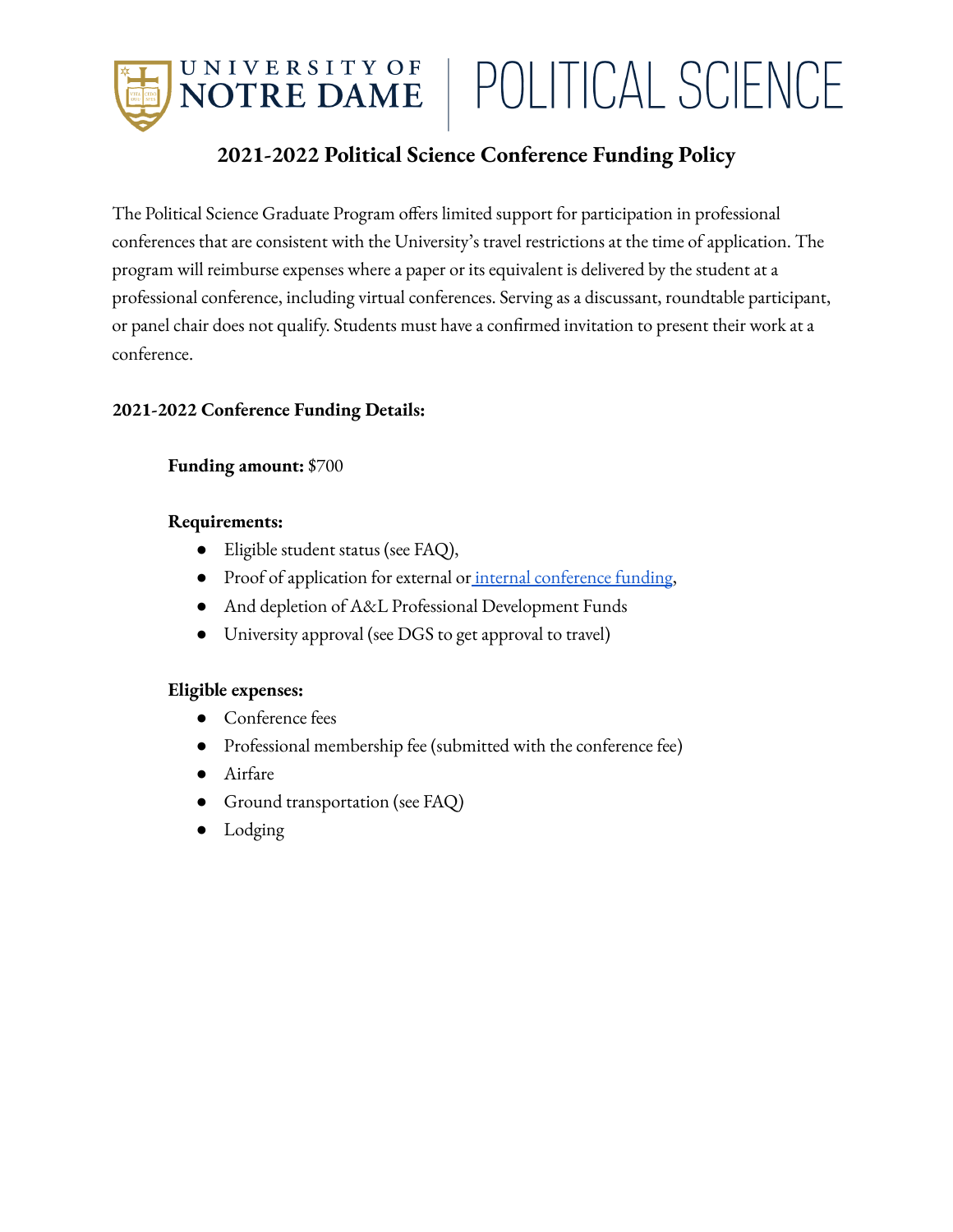UNIVERSITY OF<br>**NOTRE DAME** POLITICAL SCIENCE

## **2021-2022 Political Science Conference Funding Policy**

The Political Science Graduate Program offers limited support for participation in professional conferences that are consistent with the University's travel restrictions at the time of application. The program will reimburse expenses where a paper or its equivalent is delivered by the student at a professional conference, including virtual conferences. Serving as a discussant, roundtable participant, or panel chair does not qualify. Students must have a confirmed invitation to present their work at a conference.

#### **2021-2022 Conference Funding Details:**

#### **Funding amount:** \$700

#### **Requirements:**

- Eligible student status (see FAQ),
- Proof of application for external or internal [conference](https://politicalscience.nd.edu/graduate-program/student-resources/grants-and-fellowships/) funding,
- And depletion of A&L Professional Development Funds
- University approval (see DGS to get approval to travel)

#### **Eligible expenses:**

- Conference fees
- Professional membership fee (submitted with the conference fee)
- Airfare
- Ground transportation (see FAQ)
- Lodging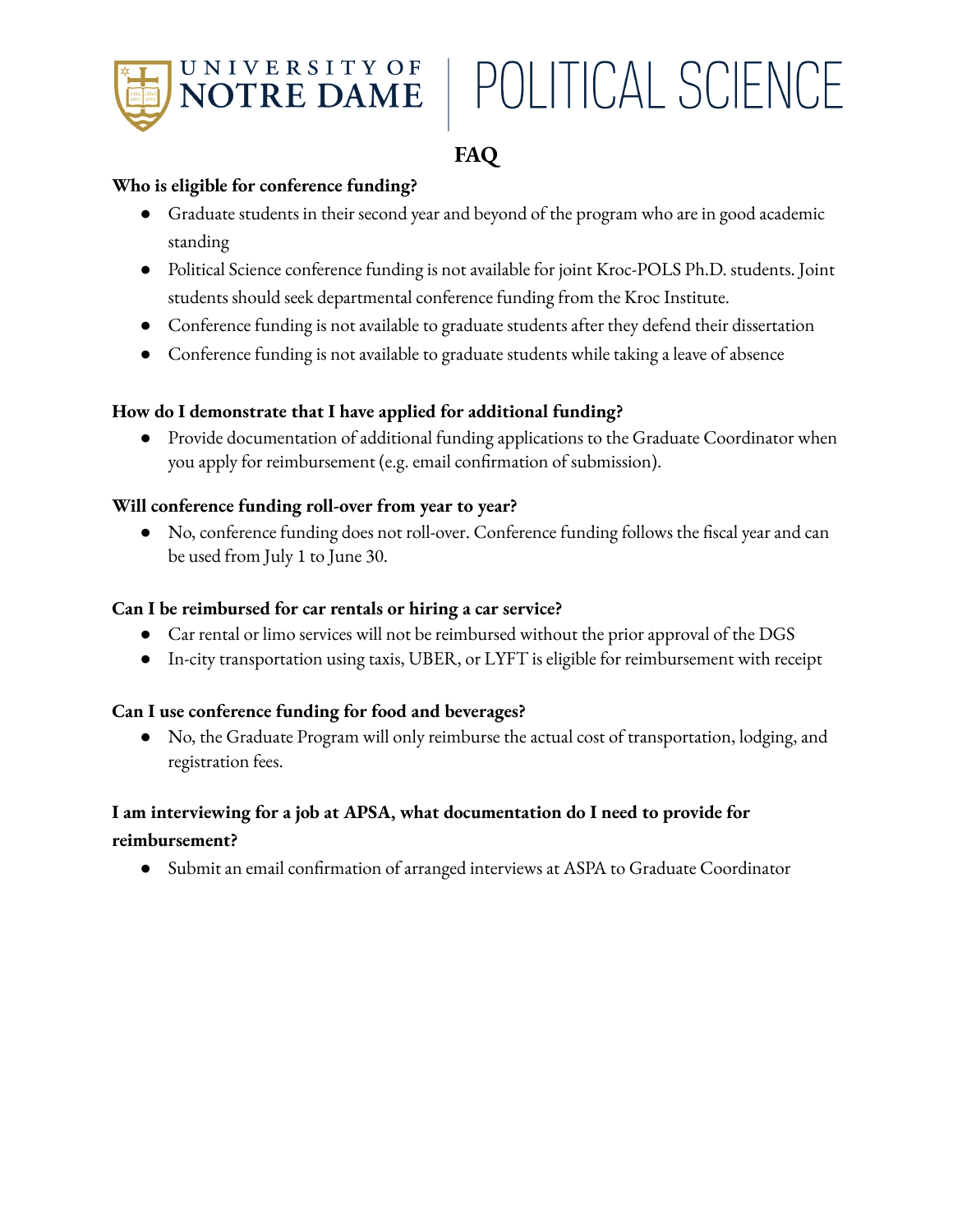

## POLITICAL SCIENCE

## **FAQ**

#### **Who is eligible for conference funding?**

- Graduate students in their second year and beyond of the program who are in good academic standing
- Political Science conference funding is not available for joint Kroc-POLS Ph.D. students. Joint students should seek departmental conference funding from the Kroc Institute.
- Conference funding is not available to graduate students after they defend their dissertation
- Conference funding is not available to graduate students while taking a leave of absence

#### **How do I demonstrate that I have applied for additional funding?**

● Provide documentation of additional funding applications to the Graduate Coordinator when you apply for reimbursement (e.g. email confirmation of submission).

#### **Will conference funding roll-over from year to year?**

● No, conference funding does not roll-over. Conference funding follows the fiscal year and can be used from July 1 to June 30.

#### **Can I be reimbursed for car rentals or hiring a car service?**

- Car rental or limo services will not be reimbursed without the prior approval of the DGS
- In-city transportation using taxis, UBER, or LYFT is eligible for reimbursement with receipt

#### **Can I use conference funding for food and beverages?**

● No, the Graduate Program will only reimburse the actual cost of transportation, lodging, and registration fees.

#### **I am interviewing for a job at APSA, what documentation do I need to provide for reimbursement?**

● Submit an email confirmation of arranged interviews at ASPA to Graduate Coordinator